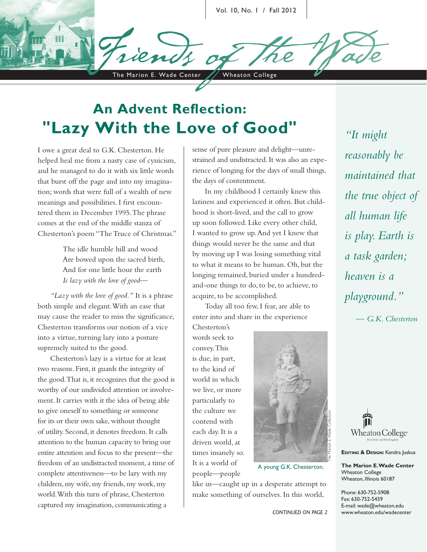

The Marion E. Wade Center / Wheaton College

# **An Advent Reflection: "Lazy With the Love of Good"**

I owe a great deal to G.K. Chesterton. He helped heal me from a nasty case of cynicism, and he managed to do it with six little words that burst off the page and into my imagination; words that were full of a wealth of new meanings and possibilities. I first encountered them in December 1995. The phrase comes at the end of the middle stanza of Chesterton's poem "The Truce of Christmas."

> The idle humble hill and wood Are bowed upon the sacred birth, And for one little hour the earth *Is lazy with the love of good—*

*"Lazy with the love of good."* It is a phrase both simple and elegant. With an ease that may cause the reader to miss the significance, Chesterton transforms our notion of a vice into a virtue, turning lazy into a posture supremely suited to the good.

Chesterton's lazy is a virtue for at least two reasons. First, it guards the integrity of the good. That is, it recognizes that the good is worthy of our undivided attention or involvement. It carries with it the idea of being able to give oneself to something or someone for its or their own sake, without thought of utility. Second, it denotes freedom. It calls attention to the human capacity to bring our entire attention and focus to the present—the freedom of an undistracted moment, a time of complete attentiveness—to be lazy with my children, my wife, my friends, my work, my world. With this turn of phrase, Chesterton captured my imagination, communicating a

sense of pure pleasure and delight—unrestrained and undistracted. It was also an experience of longing for the days of small things, the days of contentment.

In my childhood I certainly knew this laziness and experienced it often. But childhood is short-lived, and the call to grow up soon followed. Like every other child, I wanted to grow up. And yet I knew that things would never be the same and that by moving up I was losing something vital to what it means to be human. Oh, but the longing remained, buried under a hundredand-one things to do, to be, to achieve, to acquire, to be accomplished.

Today all too few, I fear, are able to enter into and share in the experience

Chesterton's words seek to convey. This is due, in part, to the kind of world in which we live, or more particularly to the culture we contend with each day. It is a driven world, at times insanely so. It is a world of people—people

like us—caught up in a desperate attempt to make something of ourselves. In this world,

*all human life is play. Earth is a task garden; heaven is a playground." — G.K. Chesterton*

*"It might* 

*reasonably be* 

*maintained that* 

*the true object of* 



**EDITING & DESIGN:** Kendra Juskus

**The Marion E. Wade Center** Wheaton College Wheaton, Illinois 60187

Phone: 630-752-5908 Fax: 630-752-5459 E-mail: wade@wheaton.edu www.wheaton.edu/wadecenter

*CONTINUED ON PAGE 2*



A young G.K. Chesterton.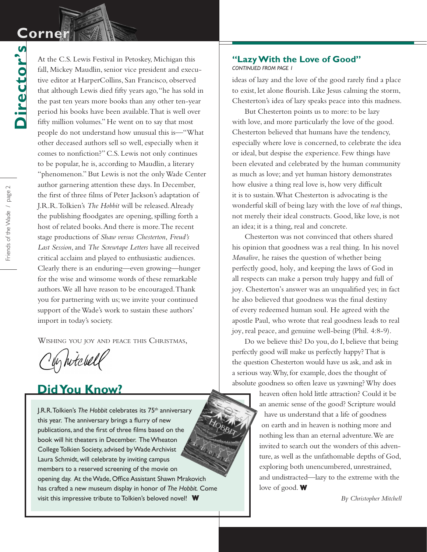## **Corner Corner**

**Director's**

Director's

At the C.S. Lewis Festival in Petoskey, Michigan this fall, Mickey Maudlin, senior vice president and executive editor at HarperCollins, San Francisco, observed that although Lewis died fifty years ago, "he has sold in the past ten years more books than any other ten-year period his books have been available. That is well over fifty million volumes." He went on to say that most people do not understand how unusual this is—"What other deceased authors sell so well, especially when it comes to nonfiction?" C.S. Lewis not only continues to be popular, he is, according to Maudlin, a literary "phenomenon." But Lewis is not the only Wade Center author garnering attention these days. In December, the first of three films of Peter Jackson's adaptation of J.R.R. Tolkien's *The Hobbit* will be released. Already the publishing floodgates are opening, spilling forth a host of related books. And there is more. The recent stage productions of *Shaw versus Chesterton*, *Freud's Last Session*, and *The Screwtape Letters* have all received critical acclaim and played to enthusiastic audiences. Clearly there is an enduring—even growing—hunger for the wise and winsome words of these remarkable authors. We all have reason to be encouraged. Thank you for partnering with us; we invite your continued support of the Wade's work to sustain these authors' import in today's society.

Wishing you joy and peace this Christmas,

y hitchell

### **Did You Know?**

J.R.R. Tolkien's *The Hobbit* celebrates its 75<sup>th</sup> anniversary this year. The anniversary brings a flurry of new publications, and the first of three films based on the book will hit theaters in December. The Wheaton College Tolkien Society, advised by Wade Archivist Laura Schmidt, will celebrate by inviting campus members to a reserved screening of the movie on opening day. At the Wade, Office Assistant Shawn Mrakovich has crafted a new museum display in honor of *The Hobbit.* Come visit this impressive tribute to Tolkien's beloved novel! **W**

#### **"Lazy With the Love of Good"**

*CONTINUED FROM PAGE 1*

ideas of lazy and the love of the good rarely find a place to exist, let alone flourish. Like Jesus calming the storm, Chesterton's idea of lazy speaks peace into this madness.

But Chesterton points us to more: to be lazy with love, and more particularly the love of the good. Chesterton believed that humans have the tendency, especially where love is concerned, to celebrate the idea or ideal, but despise the experience. Few things have been elevated and celebrated by the human community as much as love; and yet human history demonstrates how elusive a thing real love is, how very difficult it is to sustain. What Chesterton is advocating is the wonderful skill of being lazy with the love of *real* things, not merely their ideal constructs. Good, like love, is not an idea; it is a thing, real and concrete.

Chesterton was not convinced that others shared his opinion that goodness was a real thing. In his novel *Manalive*, he raises the question of whether being perfectly good, holy, and keeping the laws of God in all respects can make a person truly happy and full of joy. Chesterton's answer was an unqualified yes; in fact he also believed that goodness was the final destiny of every redeemed human soul. He agreed with the apostle Paul, who wrote that real goodness leads to real joy, real peace, and genuine well-being (Phil. 4:8-9).

Do we believe this? Do you, do I, believe that being perfectly good will make us perfectly happy? That is the question Chesterton would have us ask, and ask in a serious way. Why, for example, does the thought of absolute goodness so often leave us yawning? Why does

> heaven often hold little attraction? Could it be an anemic sense of the good? Scripture would have us understand that a life of goodness on earth and in heaven is nothing more and nothing less than an eternal adventure. We are invited to search out the wonders of this adventure, as well as the unfathomable depths of God, exploring both unencumbered, unrestrained, and undistracted—lazy to the extreme with the love of good. **W**

> > *By Christopher Mitchell*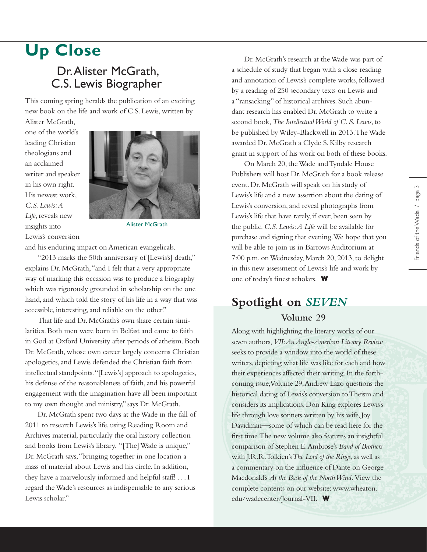## **Up Close**

### Dr. Alister McGrath, C.S. Lewis Biographer

This coming spring heralds the publication of an exciting new book on the life and work of C.S. Lewis, written by

Alister McGrath, one of the world's leading Christian theologians and an acclaimed writer and speaker in his own right. His newest work, *C.S. Lewis: A Life*, reveals new insights into Lewis's conversion



Alister McGrath

and his enduring impact on American evangelicals.

"2013 marks the 50th anniversary of [Lewis's] death," explains Dr. McGrath, "and I felt that a very appropriate way of marking this occasion was to produce a biography which was rigorously grounded in scholarship on the one hand, and which told the story of his life in a way that was accessible, interesting, and reliable on the other."

That life and Dr. McGrath's own share certain similarities. Both men were born in Belfast and came to faith in God at Oxford University after periods of atheism. Both Dr. McGrath, whose own career largely concerns Christian apologetics, and Lewis defended the Christian faith from intellectual standpoints. "[Lewis's] approach to apologetics, his defense of the reasonableness of faith, and his powerful engagement with the imagination have all been important to my own thought and ministry," says Dr. McGrath.

Dr. McGrath spent two days at the Wade in the fall of 2011 to research Lewis's life, using Reading Room and Archives material, particularly the oral history collection and books from Lewis's library. "[The] Wade is unique," Dr. McGrath says, "bringing together in one location a mass of material about Lewis and his circle. In addition, they have a marvelously informed and helpful staff! . . . I regard the Wade's resources as indispensable to any serious Lewis scholar."

Dr. McGrath's research at the Wade was part of a schedule of study that began with a close reading and annotation of Lewis's complete works, followed by a reading of 250 secondary texts on Lewis and a "ransacking" of historical archives. Such abundant research has enabled Dr. McGrath to write a second book, *The Intellectual World of C. S. Lewis*, to be published by Wiley-Blackwell in 2013. The Wade awarded Dr. McGrath a Clyde S. Kilby research grant in support of his work on both of these books.

On March 20, the Wade and Tyndale House Publishers will host Dr. McGrath for a book release event. Dr. McGrath will speak on his study of Lewis's life and a new assertion about the dating of Lewis's conversion, and reveal photographs from Lewis's life that have rarely, if ever, been seen by the public. *C.S. Lewis: A Life* will be available for purchase and signing that evening. We hope that you will be able to join us in Barrows Auditorium at 7:00 p.m. on Wednesday, March 20, 2013, to delight in this new assessment of Lewis's life and work by one of today's finest scholars. **W**

#### **Spotlight on** *SEVEN* **Volume 29**

Along with highlighting the literary works of our seven authors, *VII: An Anglo-American Literary Review*  seeks to provide a window into the world of these writers, depicting what life was like for each and how their experiences affected their writing. In the forthcoming issue, Volume 29, Andrew Lazo questions the historical dating of Lewis's conversion to Theism and considers its implications. Don King explores Lewis's life through love sonnets written by his wife, Joy Davidman—some of which can be read here for the first time. The new volume also features an insightful comparison of Stephen E. Ambrose's *Band of Brothers*  with J.R.R. Tolkien's *The Lord of the Rings*, as well as a commentary on the influence of Dante on George Macdonald's *At the Back of the North Wind.* View the complete contents on our website: www.wheaton. edu/wadecenter/Journal-VII. **W**